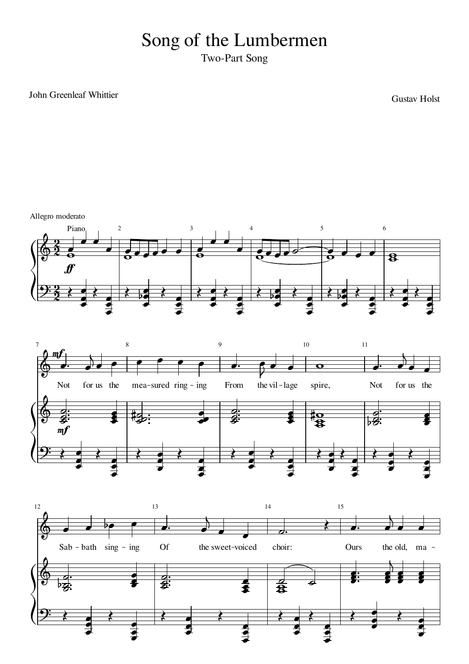## Song of the Lumbermen

Two-Part Song

John Greenleaf Whittier

Gustav Holst

Allegro moderato





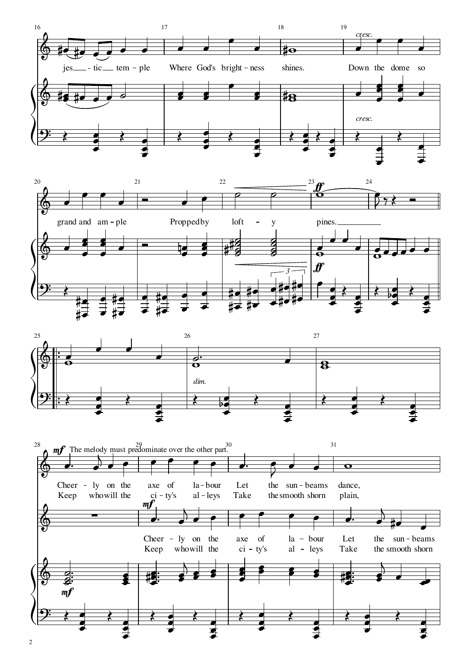